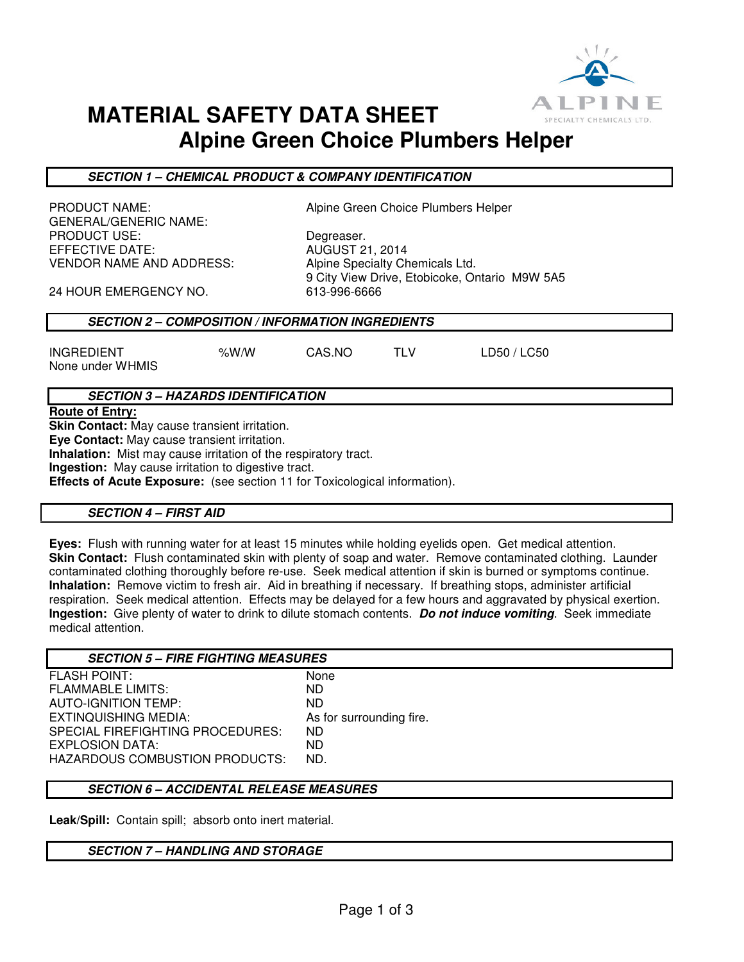

# **MATERIAL SAFETY DATA SHEET Alpine Green Choice Plumbers Helper**

**SECTION 1 – CHEMICAL PRODUCT & COMPANY IDENTIFICATION** 

GENERAL/GENERIC NAME: PRODUCT USE: Degreaser. EFFECTIVE DATE: AUGUST 21, 2014 VENDOR NAME AND ADDRESS: Alpine Specialty Chemicals Ltd.

PRODUCT NAME: Alpine Green Choice Plumbers Helper

9 City View Drive, Etobicoke, Ontario M9W 5A5

24 HOUR EMERGENCY NO. 613-996-6666

#### **SECTION 2 – COMPOSITION / INFORMATION INGREDIENTS**

INGREDIENT %W/W CAS.NO TLV LD50 / LC50 None under WHMIS

## **SECTION 3 – HAZARDS IDENTIFICATION**

**Route of Entry:** 

**Skin Contact:** May cause transient irritation.

**Eye Contact:** May cause transient irritation.

**Inhalation:** Mist may cause irritation of the respiratory tract.

**Ingestion:** May cause irritation to digestive tract.

**Effects of Acute Exposure:** (see section 11 for Toxicological information).

#### **SECTION 4 – FIRST AID**

**Eyes:** Flush with running water for at least 15 minutes while holding eyelids open. Get medical attention. **Skin Contact:** Flush contaminated skin with plenty of soap and water. Remove contaminated clothing. Launder contaminated clothing thoroughly before re-use. Seek medical attention if skin is burned or symptoms continue. **Inhalation:** Remove victim to fresh air. Aid in breathing if necessary. If breathing stops, administer artificial respiration. Seek medical attention. Effects may be delayed for a few hours and aggravated by physical exertion. **Ingestion:** Give plenty of water to drink to dilute stomach contents. **Do not induce vomiting**. Seek immediate medical attention.

| <b>SECTION 5 - FIRE FIGHTING MEASURES</b> |                          |
|-------------------------------------------|--------------------------|
| <b>FLASH POINT:</b>                       | None                     |
| <b>FLAMMABLE LIMITS:</b>                  | ND.                      |
| AUTO-IGNITION TEMP:                       | ND.                      |
| EXTINQUISHING MEDIA:                      | As for surrounding fire. |
| SPECIAL FIREFIGHTING PROCEDURES:          | ND.                      |
| EXPLOSION DATA:                           | ND.                      |
| <b>HAZARDOUS COMBUSTION PRODUCTS:</b>     | ND.                      |
|                                           |                          |

#### **SECTION 6 – ACCIDENTAL RELEASE MEASURES**

**Leak/Spill:** Contain spill; absorb onto inert material.

#### **SECTION 7 – HANDLING AND STORAGE**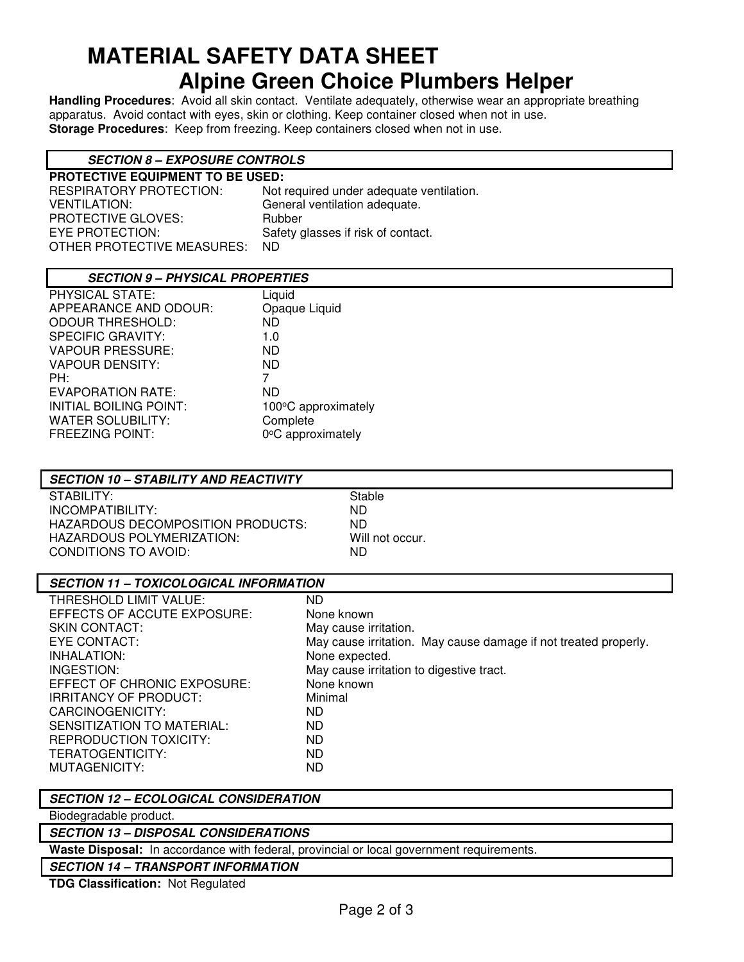# **MATERIAL SAFETY DATA SHEET Alpine Green Choice Plumbers Helper**

**Handling Procedures**: Avoid all skin contact. Ventilate adequately, otherwise wear an appropriate breathing apparatus. Avoid contact with eyes, skin or clothing. Keep container closed when not in use. **Storage Procedures**: Keep from freezing. Keep containers closed when not in use.

# **SECTION 8 – EXPOSURE CONTROLS**

| <b>PROTECTIVE EQUIPMENT TO BE USED:</b> |                                          |  |
|-----------------------------------------|------------------------------------------|--|
| RESPIRATORY PROTECTION:                 | Not required under adequate ventilation. |  |
| <b>VENTILATION:</b>                     | General ventilation adequate.            |  |
| <b>PROTECTIVE GLOVES:</b>               | Rubber                                   |  |
| EYE PROTECTION:                         | Safety glasses if risk of contact.       |  |
| OTHER PROTECTIVE MEASURES:              | ND.                                      |  |
|                                         |                                          |  |

### **SECTION 9 – PHYSICAL PROPERTIES**

| PHYSICAL STATE:               | Liquid              |
|-------------------------------|---------------------|
| APPEARANCE AND ODOUR:         | Opaque Liquid       |
| <b>ODOUR THRESHOLD:</b>       | ND.                 |
| <b>SPECIFIC GRAVITY:</b>      | 1.0                 |
| <b>VAPOUR PRESSURE:</b>       | ND.                 |
| <b>VAPOUR DENSITY:</b>        | ND.                 |
| PH:                           | 7                   |
| EVAPORATION RATE:             | ND                  |
| <b>INITIAL BOILING POINT:</b> | 100°C approximately |
| <b>WATER SOLUBILITY:</b>      | Complete            |
| <b>FREEZING POINT:</b>        | 0°C approximately   |
|                               |                     |

# **SECTION 10 – STABILITY AND REACTIVITY**

STABILITY: STABILITY: INCOMPATIBILITY: ND HAZARDOUS DECOMPOSITION PRODUCTS: ND HAZARDOUS POLYMERIZATION: Will not occur. CONDITIONS TO AVOID: ND

## **SECTION 11 – TOXICOLOGICAL INFORMATION**

| THRESHOLD LIMIT VALUE:      | ND.                                                             |
|-----------------------------|-----------------------------------------------------------------|
| EFFECTS OF ACCUTE EXPOSURE: | None known                                                      |
| SKIN CONTACT:               | May cause irritation.                                           |
| EYE CONTACT:                | May cause irritation. May cause damage if not treated properly. |
| INHALATION:                 | None expected.                                                  |
| INGESTION:                  | May cause irritation to digestive tract.                        |
| EFFECT OF CHRONIC EXPOSURE: | None known                                                      |
| IRRITANCY OF PRODUCT:       | Minimal                                                         |
| CARCINOGENICITY:            | ND                                                              |
| SENSITIZATION TO MATERIAL:  | ND                                                              |
| REPRODUCTION TOXICITY:      | ND                                                              |
| TERATOGENTICITY:            | ND                                                              |
| MUTAGENICITY:               | ND                                                              |
|                             |                                                                 |

## **SECTION 12 – ECOLOGICAL CONSIDERATION**

Biodegradable product.

#### **SECTION 13 – DISPOSAL CONSIDERATIONS**

**Waste Disposal:** In accordance with federal, provincial or local government requirements.

## **SECTION 14 – TRANSPORT INFORMATION**

**TDG Classification:** Not Regulated